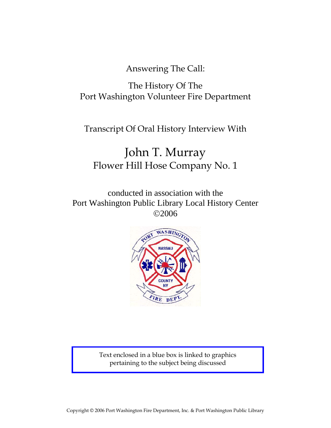Answering The Call:

## The History Of The Port Washington Volunteer Fire Department

Transcript Of Oral History Interview With

# John T. Murray Flower Hill Hose Company No. 1

conducted in association with the Port Washington Public Library Local History Center ©2006



Text enclosed in a blue box is linked to graphics pertaining to the subject being discussed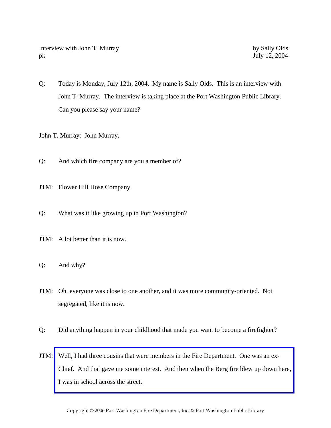Interview with John T. Murray by Sally Olds pk July 12, 2004

Q: Today is Monday, July 12th, 2004. My name is Sally Olds. This is an interview with John T. Murray. The interview is taking place at the Port Washington Public Library. Can you please say your name?

John T. Murray: John Murray.

Q: And which fire company are you a member of?

- JTM: Flower Hill Hose Company.
- Q: What was it like growing up in Port Washington?
- JTM: A lot better than it is now.
- Q: And why?
- JTM: Oh, everyone was close to one another, and it was more community-oriented. Not segregated, like it is now.
- Q: Did anything happen in your childhood that made you want to become a firefighter?
- JTM: Well, I had three cousins that were members in the Fire Department. One was an ex-[Chief. And that gave me some interest. And then when the Berg fire blew up down here,](http://www.pwfdhistory.com/trans/murrayj_trans/news_hewitt_1940-05_web.jpg)  I was in school across the street.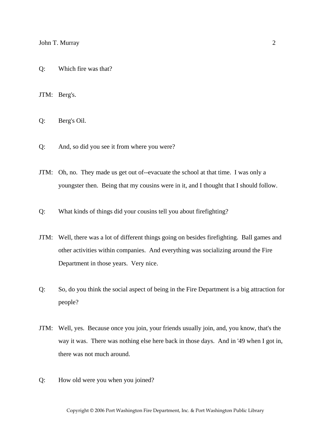JTM: Berg's.

Q: Berg's Oil.

- Q: And, so did you see it from where you were?
- JTM: Oh, no. They made us get out of--evacuate the school at that time. I was only a youngster then. Being that my cousins were in it, and I thought that I should follow.
- Q: What kinds of things did your cousins tell you about firefighting?
- JTM: Well, there was a lot of different things going on besides firefighting. Ball games and other activities within companies. And everything was socializing around the Fire Department in those years. Very nice.
- Q: So, do you think the social aspect of being in the Fire Department is a big attraction for people?
- JTM: Well, yes. Because once you join, your friends usually join, and, you know, that's the way it was. There was nothing else here back in those days. And in '49 when I got in, there was not much around.
- Q: How old were you when you joined?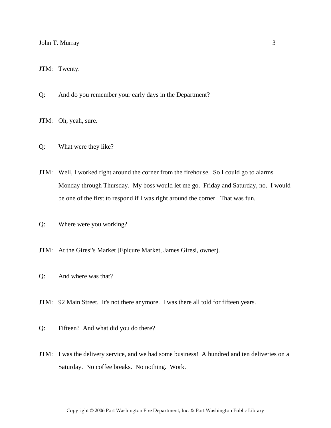JTM: Twenty.

- Q: And do you remember your early days in the Department?
- JTM: Oh, yeah, sure.
- Q: What were they like?
- JTM: Well, I worked right around the corner from the firehouse. So I could go to alarms Monday through Thursday. My boss would let me go. Friday and Saturday, no. I would be one of the first to respond if I was right around the corner. That was fun.
- Q: Where were you working?
- JTM: At the Giresi's Market [Epicure Market, James Giresi, owner).
- Q: And where was that?
- JTM: 92 Main Street. It's not there anymore. I was there all told for fifteen years.
- Q: Fifteen? And what did you do there?
- JTM: I was the delivery service, and we had some business! A hundred and ten deliveries on a Saturday. No coffee breaks. No nothing. Work.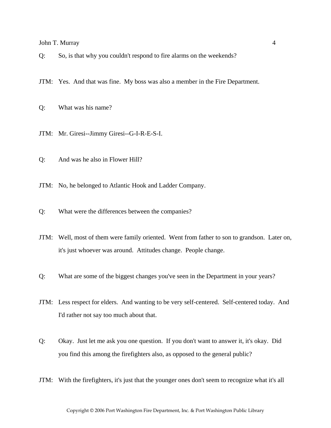Q: So, is that why you couldn't respond to fire alarms on the weekends?

JTM: Yes. And that was fine. My boss was also a member in the Fire Department.

Q: What was his name?

- JTM: Mr. Giresi--Jimmy Giresi--G-I-R-E-S-I.
- Q: And was he also in Flower Hill?

JTM: No, he belonged to Atlantic Hook and Ladder Company.

Q: What were the differences between the companies?

- JTM: Well, most of them were family oriented. Went from father to son to grandson. Later on, it's just whoever was around. Attitudes change. People change.
- Q: What are some of the biggest changes you've seen in the Department in your years?
- JTM: Less respect for elders. And wanting to be very self-centered. Self-centered today. And I'd rather not say too much about that.
- Q: Okay. Just let me ask you one question. If you don't want to answer it, it's okay. Did you find this among the firefighters also, as opposed to the general public?
- JTM: With the firefighters, it's just that the younger ones don't seem to recognize what it's all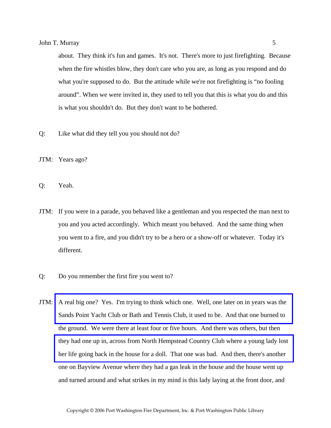about. They think it's fun and games. It's not. There's more to just firefighting. Because when the fire whistles blow, they don't care who you are, as long as you respond and do what you're supposed to do. But the attitude while we're not firefighting is "no fooling around". When we were invited in, they used to tell you that this is what you do and this is what you shouldn't do. But they don't want to be bothered.

Q: Like what did they tell you you should not do?

JTM: Years ago?

Q: Yeah.

- JTM: If you were in a parade, you behaved like a gentleman and you respected the man next to you and you acted accordingly. Which meant you behaved. And the same thing when you went to a fire, and you didn't try to be a hero or a show-off or whatever. Today it's different.
- Q: Do you remember the first fire you went to?
- JTM: [A real big one? Yes. I'm trying to think which one. Well, one later on in years was the](http://www.pwfdhistory.com/trans/murrayj_trans/nday860319_pz_web.pdf)  Sands Point Yacht Club or Bath and Tennis Club, it used to be. And that one burned to the ground. We were there at least four or five hours. And there was others, but then [they had one up in, across from North Hempstead Country Club where a young lady lost](http://www.pwfdhistory.com/trans/murrayj_trans/pwfd_news059.pdf)  her life going back in the house for a doll. That one was bad. And then, there's another one on Bayview Avenue where they had a gas leak in the house and the house went up and turned around and what strikes in my mind is this lady laying at the front door, and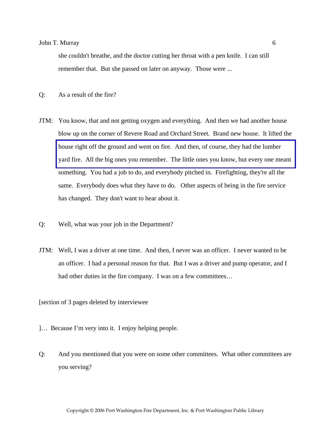she couldn't breathe, and the doctor cutting her throat with a pen knife. I can still remember that. But she passed on later on anyway. Those were ...

- Q: As a result of the fire?
- JTM: You know, that and not getting oxygen and everything. And then we had another house blow up on the corner of Revere Road and Orchard Street. Brand new house. It lifted the house right off the ground and went on fire. And then, of course, they had the lumber [yard fire. All the big ones you remember. The little ones you know, but every one meant](http://www.pwfdhistory.com/trans/murrayj_trans/pwfd_news052.pdf)  something. You had a job to do, and everybody pitched in. Firefighting, they're all the same. Everybody does what they have to do. Other aspects of being in the fire service has changed. They don't want to hear about it.
- Q: Well, what was your job in the Department?
- JTM: Well, I was a driver at one time. And then, I never was an officer. I never wanted to be an officer. I had a personal reason for that. But I was a driver and pump operator, and I had other duties in the fire company. I was on a few committees...

[section of 3 pages deleted by interviewee

- ]… Because I'm very into it. I enjoy helping people.
- Q: And you mentioned that you were on some other committees. What other committees are you serving?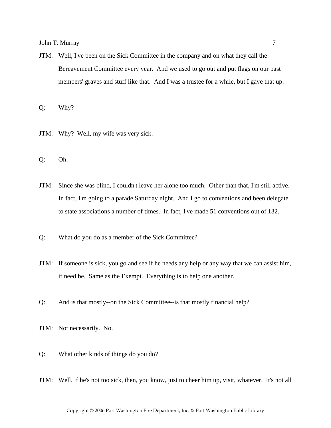JTM: Well, I've been on the Sick Committee in the company and on what they call the Bereavement Committee every year. And we used to go out and put flags on our past members' graves and stuff like that. And I was a trustee for a while, but I gave that up.

Q: Why?

- JTM: Why? Well, my wife was very sick.
- Q: Oh.
- JTM: Since she was blind, I couldn't leave her alone too much. Other than that, I'm still active. In fact, I'm going to a parade Saturday night. And I go to conventions and been delegate to state associations a number of times. In fact, I've made 51 conventions out of 132.
- Q: What do you do as a member of the Sick Committee?
- JTM: If someone is sick, you go and see if he needs any help or any way that we can assist him, if need be. Same as the Exempt. Everything is to help one another.
- Q: And is that mostly--on the Sick Committee--is that mostly financial help?
- JTM: Not necessarily. No.
- Q: What other kinds of things do you do?
- JTM: Well, if he's not too sick, then, you know, just to cheer him up, visit, whatever. It's not all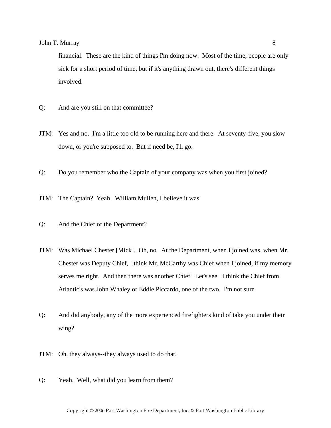financial. These are the kind of things I'm doing now. Most of the time, people are only sick for a short period of time, but if it's anything drawn out, there's different things involved.

- Q: And are you still on that committee?
- JTM: Yes and no. I'm a little too old to be running here and there. At seventy-five, you slow down, or you're supposed to. But if need be, I'll go.
- Q: Do you remember who the Captain of your company was when you first joined?
- JTM: The Captain? Yeah. William Mullen, I believe it was.
- Q: And the Chief of the Department?
- JTM: Was Michael Chester [Mick]. Oh, no. At the Department, when I joined was, when Mr. Chester was Deputy Chief, I think Mr. McCarthy was Chief when I joined, if my memory serves me right. And then there was another Chief. Let's see. I think the Chief from Atlantic's was John Whaley or Eddie Piccardo, one of the two. I'm not sure.
- Q: And did anybody, any of the more experienced firefighters kind of take you under their wing?
- JTM: Oh, they always--they always used to do that.
- Q: Yeah. Well, what did you learn from them?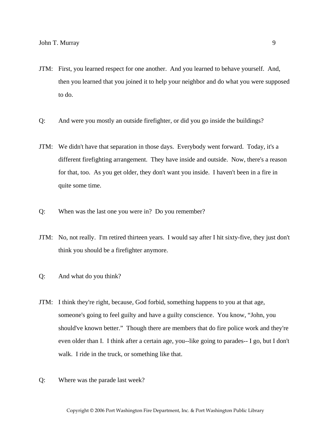- JTM: First, you learned respect for one another. And you learned to behave yourself. And, then you learned that you joined it to help your neighbor and do what you were supposed to do.
- Q: And were you mostly an outside firefighter, or did you go inside the buildings?
- JTM: We didn't have that separation in those days. Everybody went forward. Today, it's a different firefighting arrangement. They have inside and outside. Now, there's a reason for that, too. As you get older, they don't want you inside. I haven't been in a fire in quite some time.
- Q: When was the last one you were in? Do you remember?
- JTM: No, not really. I'm retired thirteen years. I would say after I hit sixty-five, they just don't think you should be a firefighter anymore.
- Q: And what do you think?
- JTM: I think they're right, because, God forbid, something happens to you at that age, someone's going to feel guilty and have a guilty conscience. You know, "John, you should've known better." Though there are members that do fire police work and they're even older than I. I think after a certain age, you--like going to parades-- I go, but I don't walk. I ride in the truck, or something like that.
- Q: Where was the parade last week?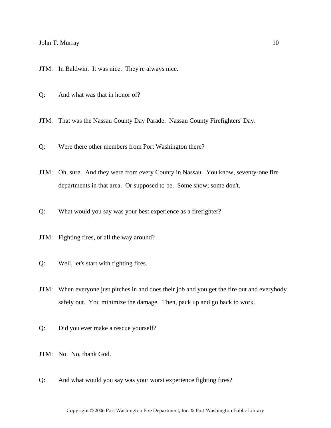JTM: In Baldwin. It was nice. They're always nice.

Q: And what was that in honor of?

JTM: That was the Nassau County Day Parade. Nassau County Firefighters' Day.

Q: Were there other members from Port Washington there?

JTM: Oh, sure. And they were from every County in Nassau. You know, seventy-one fire departments in that area. Or supposed to be. Some show; some don't.

Q: What would you say was your best experience as a firefighter?

JTM: Fighting fires, or all the way around?

Q: Well, let's start with fighting fires.

JTM: When everyone just pitches in and does their job and you get the fire out and everybody safely out. You minimize the damage. Then, pack up and go back to work.

Q: Did you ever make a rescue yourself?

JTM: No. No, thank God.

Q: And what would you say was your worst experience fighting fires?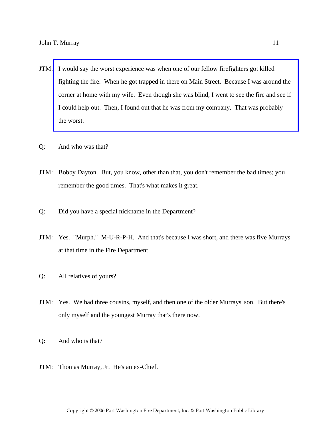- JTM: I would say the worst experience was when one of our fellow firefighters got killed fighting the fire. When he got trapped in there on Main Street. Because I was around the [corner at home with my wife. Even though she was blind, I went to see the fire and see if](http://www.pwfdhistory.com/trans/murrayj_trans/pnews881201_pz_web.pdf)  I could help out. Then, I found out that he was from my company. That was probably the worst.
- Q: And who was that?
- JTM: Bobby Dayton. But, you know, other than that, you don't remember the bad times; you remember the good times. That's what makes it great.
- Q: Did you have a special nickname in the Department?
- JTM: Yes. "Murph." M-U-R-P-H. And that's because I was short, and there was five Murrays at that time in the Fire Department.
- Q: All relatives of yours?
- JTM: Yes. We had three cousins, myself, and then one of the older Murrays' son. But there's only myself and the youngest Murray that's there now.
- Q: And who is that?
- JTM: Thomas Murray, Jr. He's an ex-Chief.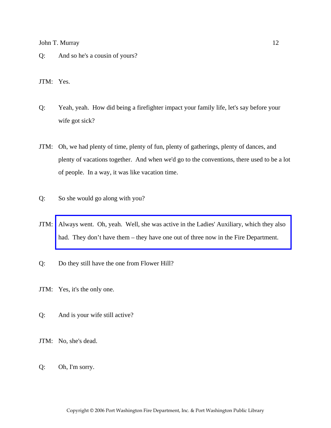Q: And so he's a cousin of yours?

JTM: Yes.

- Q: Yeah, yeah. How did being a firefighter impact your family life, let's say before your wife got sick?
- JTM: Oh, we had plenty of time, plenty of fun, plenty of gatherings, plenty of dances, and plenty of vacations together. And when we'd go to the conventions, there used to be a lot of people. In a way, it was like vacation time.
- Q: So she would go along with you?
- JTM: [Always went. Oh, yeah. Well, she was active in the Ladies' Auxiliary, which they also](http://www.pwfdhistory.com/trans/murrayj_trans/fhh_aux001_web.jpg)  had. They don't have them – they have one out of three now in the Fire Department.
- Q: Do they still have the one from Flower Hill?
- JTM: Yes, it's the only one.
- Q: And is your wife still active?
- JTM: No, she's dead.
- Q: Oh, I'm sorry.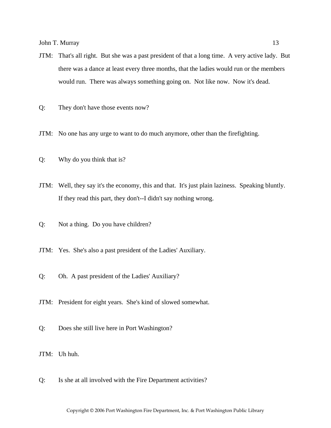- JTM: That's all right. But she was a past president of that a long time. A very active lady. But there was a dance at least every three months, that the ladies would run or the members would run. There was always something going on. Not like now. Now it's dead.
- Q: They don't have those events now?
- JTM: No one has any urge to want to do much anymore, other than the firefighting.
- Q: Why do you think that is?
- JTM: Well, they say it's the economy, this and that. It's just plain laziness. Speaking bluntly. If they read this part, they don't--I didn't say nothing wrong.
- Q: Not a thing. Do you have children?
- JTM: Yes. She's also a past president of the Ladies' Auxiliary.
- Q: Oh. A past president of the Ladies' Auxiliary?
- JTM: President for eight years. She's kind of slowed somewhat.
- Q: Does she still live here in Port Washington?
- JTM: Uh huh.
- Q: Is she at all involved with the Fire Department activities?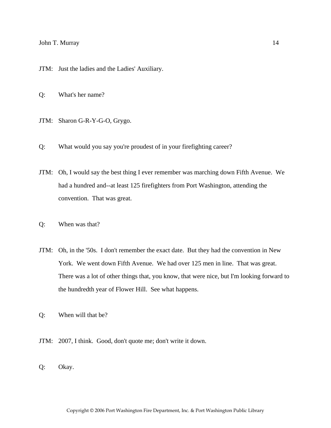JTM: Just the ladies and the Ladies' Auxiliary.

- Q: What's her name?
- JTM: Sharon G-R-Y-G-O, Grygo.
- Q: What would you say you're proudest of in your firefighting career?
- JTM: Oh, I would say the best thing I ever remember was marching down Fifth Avenue. We had a hundred and--at least 125 firefighters from Port Washington, attending the convention. That was great.
- Q: When was that?
- JTM: Oh, in the '50s. I don't remember the exact date. But they had the convention in New York. We went down Fifth Avenue. We had over 125 men in line. That was great. There was a lot of other things that, you know, that were nice, but I'm looking forward to the hundredth year of Flower Hill. See what happens.
- Q: When will that be?
- JTM: 2007, I think. Good, don't quote me; don't write it down.
- Q: Okay.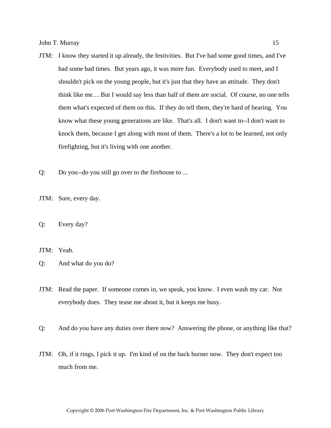- JTM: I know they started it up already, the festivities. But I've had some good times, and I've had some bad times. But years ago, it was more fun. Everybody used to meet, and I shouldn't pick on the young people, but it's just that they have an attitude. They don't think like me… But I would say less than half of them are social. Of course, no one tells them what's expected of them on this. If they do tell them, they're hard of hearing. You know what these young generations are like. That's all. I don't want to--I don't want to knock them, because I get along with most of them. There's a lot to be learned, not only firefighting, but it's living with one another.
- Q: Do you--do you still go over to the firehouse to ...
- JTM: Sure, every day.
- Q: Every day?

JTM: Yeah.

- Q: And what do you do?
- JTM: Read the paper. If someone comes in, we speak, you know. I even wash my car. Not everybody does. They tease me about it, but it keeps me busy.
- Q: And do you have any duties over there now? Answering the phone, or anything like that?
- JTM: Oh, if it rings, I pick it up. I'm kind of on the back burner now. They don't expect too much from me.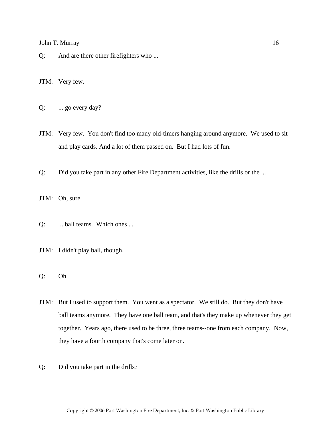- Q: And are there other firefighters who ...
- JTM: Very few.
- Q: ... go every day?
- JTM: Very few. You don't find too many old-timers hanging around anymore. We used to sit and play cards. And a lot of them passed on. But I had lots of fun.
- Q: Did you take part in any other Fire Department activities, like the drills or the ...
- JTM: Oh, sure.
- Q: ... ball teams. Which ones ...
- JTM: I didn't play ball, though.
- Q: Oh.
- JTM: But I used to support them. You went as a spectator. We still do. But they don't have ball teams anymore. They have one ball team, and that's they make up whenever they get together. Years ago, there used to be three, three teams--one from each company. Now, they have a fourth company that's come later on.
- Q: Did you take part in the drills?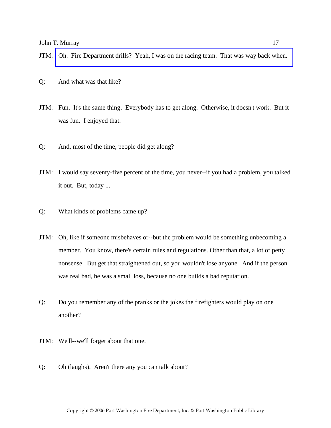- Q: And what was that like?
- JTM: Fun. It's the same thing. Everybody has to get along. Otherwise, it doesn't work. But it was fun. I enjoyed that.
- Q: And, most of the time, people did get along?
- JTM: I would say seventy-five percent of the time, you never--if you had a problem, you talked it out. But, today ...
- Q: What kinds of problems came up?
- JTM: Oh, like if someone misbehaves or--but the problem would be something unbecoming a member. You know, there's certain rules and regulations. Other than that, a lot of petty nonsense. But get that straightened out, so you wouldn't lose anyone. And if the person was real bad, he was a small loss, because no one builds a bad reputation.
- Q: Do you remember any of the pranks or the jokes the firefighters would play on one another?
- JTM: We'll--we'll forget about that one.
- Q: Oh (laughs). Aren't there any you can talk about?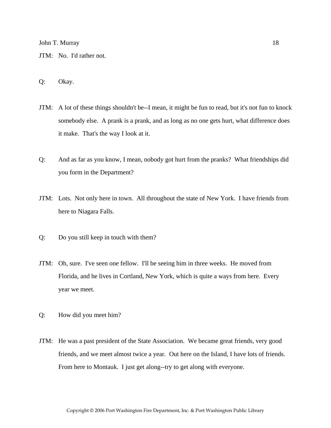- JTM: No. I'd rather not.
- Q: Okay.
- JTM: A lot of these things shouldn't be--I mean, it might be fun to read, but it's not fun to knock somebody else. A prank is a prank, and as long as no one gets hurt, what difference does it make. That's the way I look at it.
- Q: And as far as you know, I mean, nobody got hurt from the pranks? What friendships did you form in the Department?
- JTM: Lots. Not only here in town. All throughout the state of New York. I have friends from here to Niagara Falls.
- Q: Do you still keep in touch with them?
- JTM: Oh, sure. I've seen one fellow. I'll be seeing him in three weeks. He moved from Florida, and he lives in Cortland, New York, which is quite a ways from here. Every year we meet.
- Q: How did you meet him?
- JTM: He was a past president of the State Association. We became great friends, very good friends, and we meet almost twice a year. Out here on the Island, I have lots of friends. From here to Montauk. I just get along--try to get along with everyone.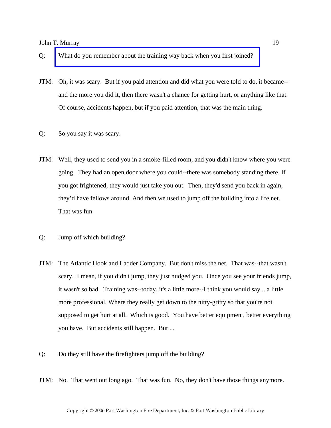- Q: [What do you remember about the training way back when you first joined?](http://www.pwfdhistory.com/trans/murrayj_trans/fhh_members008.jpg)
- JTM: Oh, it was scary. But if you paid attention and did what you were told to do, it became- and the more you did it, then there wasn't a chance for getting hurt, or anything like that. Of course, accidents happen, but if you paid attention, that was the main thing.
- Q: So you say it was scary.
- JTM: Well, they used to send you in a smoke-filled room, and you didn't know where you were going. They had an open door where you could--there was somebody standing there. If you got frightened, they would just take you out. Then, they'd send you back in again, they'd have fellows around. And then we used to jump off the building into a life net. That was fun.
- Q: Jump off which building?
- JTM: The Atlantic Hook and Ladder Company. But don't miss the net. That was--that wasn't scary. I mean, if you didn't jump, they just nudged you. Once you see your friends jump, it wasn't so bad. Training was--today, it's a little more--I think you would say ...a little more professional. Where they really get down to the nitty-gritty so that you're not supposed to get hurt at all. Which is good. You have better equipment, better everything you have. But accidents still happen. But ...
- Q: Do they still have the firefighters jump off the building?
- JTM: No. That went out long ago. That was fun. No, they don't have those things anymore.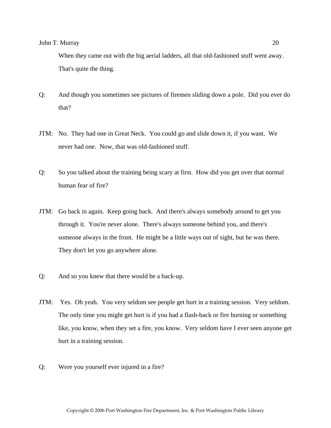When they came out with the big aerial ladders, all that old-fashioned stuff went away. That's quite the thing.

- Q: And though you sometimes see pictures of firemen sliding down a pole. Did you ever do that?
- JTM: No. They had one in Great Neck. You could go and slide down it, if you want. We never had one. Now, that was old-fashioned stuff.
- Q: So you talked about the training being scary at first. How did you get over that normal human fear of fire?
- JTM: Go back in again. Keep going back. And there's always somebody around to get you through it. You're never alone. There's always someone behind you, and there's someone always in the front. He might be a little ways out of sight, but he was there. They don't let you go anywhere alone.
- Q: And so you knew that there would be a back-up.
- JTM: Yes. Oh yeah. You very seldom see people get hurt in a training session. Very seldom. The only time you might get hurt is if you had a flash-back or fire burning or something like, you know, when they set a fire, you know. Very seldom have I ever seen anyone get hurt in a training session.
- Q: Were you yourself ever injured in a fire?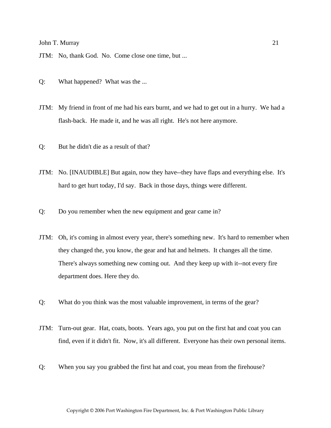JTM: No, thank God. No. Come close one time, but ...

- Q: What happened? What was the ...
- JTM: My friend in front of me had his ears burnt, and we had to get out in a hurry. We had a flash-back. He made it, and he was all right. He's not here anymore.
- Q: But he didn't die as a result of that?
- JTM: No. [INAUDIBLE] But again, now they have--they have flaps and everything else. It's hard to get hurt today, I'd say. Back in those days, things were different.
- Q: Do you remember when the new equipment and gear came in?
- JTM: Oh, it's coming in almost every year, there's something new. It's hard to remember when they changed the, you know, the gear and hat and helmets. It changes all the time. There's always something new coming out. And they keep up with it--not every fire department does. Here they do.
- Q: What do you think was the most valuable improvement, in terms of the gear?
- JTM: Turn-out gear. Hat, coats, boots. Years ago, you put on the first hat and coat you can find, even if it didn't fit. Now, it's all different. Everyone has their own personal items.
- Q: When you say you grabbed the first hat and coat, you mean from the firehouse?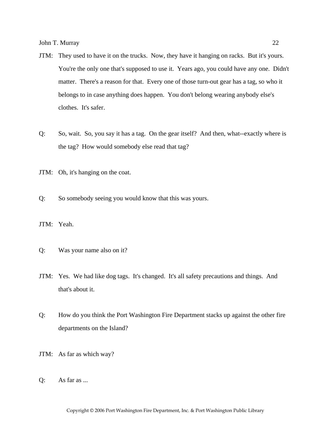- JTM: They used to have it on the trucks. Now, they have it hanging on racks. But it's yours. You're the only one that's supposed to use it. Years ago, you could have any one. Didn't matter. There's a reason for that. Every one of those turn-out gear has a tag, so who it belongs to in case anything does happen. You don't belong wearing anybody else's clothes. It's safer.
- Q: So, wait. So, you say it has a tag. On the gear itself? And then, what--exactly where is the tag? How would somebody else read that tag?
- JTM: Oh, it's hanging on the coat.
- Q: So somebody seeing you would know that this was yours.
- JTM: Yeah.
- Q: Was your name also on it?
- JTM: Yes. We had like dog tags. It's changed. It's all safety precautions and things. And that's about it.
- Q: How do you think the Port Washington Fire Department stacks up against the other fire departments on the Island?
- JTM: As far as which way?
- Q: As far as ...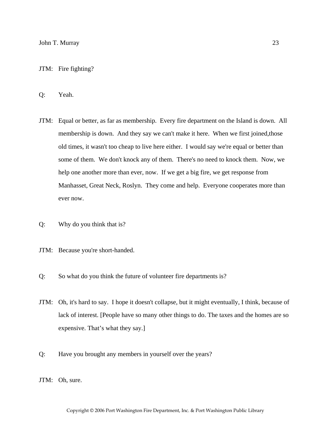#### JTM: Fire fighting?

Q: Yeah.

- JTM: Equal or better, as far as membership. Every fire department on the Island is down. All membership is down. And they say we can't make it here. When we first joined,those old times, it wasn't too cheap to live here either. I would say we're equal or better than some of them. We don't knock any of them. There's no need to knock them. Now, we help one another more than ever, now. If we get a big fire, we get response from Manhasset, Great Neck, Roslyn. They come and help. Everyone cooperates more than ever now.
- Q: Why do you think that is?
- JTM: Because you're short-handed.
- Q: So what do you think the future of volunteer fire departments is?
- JTM: Oh, it's hard to say. I hope it doesn't collapse, but it might eventually, I think, because of lack of interest. [People have so many other things to do. The taxes and the homes are so expensive. That's what they say.]
- Q: Have you brought any members in yourself over the years?
- JTM: Oh, sure.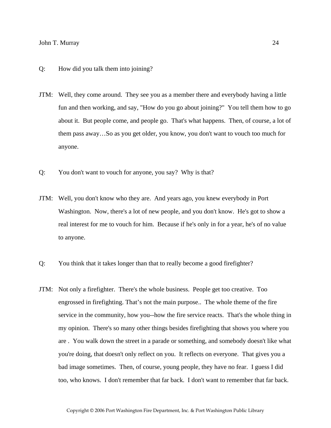- Q: How did you talk them into joining?
- JTM: Well, they come around. They see you as a member there and everybody having a little fun and then working, and say, "How do you go about joining?" You tell them how to go about it. But people come, and people go. That's what happens. Then, of course, a lot of them pass away…So as you get older, you know, you don't want to vouch too much for anyone.
- Q: You don't want to vouch for anyone, you say? Why is that?
- JTM: Well, you don't know who they are. And years ago, you knew everybody in Port Washington. Now, there's a lot of new people, and you don't know. He's got to show a real interest for me to vouch for him. Because if he's only in for a year, he's of no value to anyone.
- Q: You think that it takes longer than that to really become a good firefighter?
- JTM: Not only a firefighter. There's the whole business. People get too creative. Too engrossed in firefighting. That's not the main purpose.. The whole theme of the fire service in the community, how you--how the fire service reacts. That's the whole thing in my opinion. There's so many other things besides firefighting that shows you where you are . You walk down the street in a parade or something, and somebody doesn't like what you're doing, that doesn't only reflect on you. It reflects on everyone. That gives you a bad image sometimes. Then, of course, young people, they have no fear. I guess I did too, who knows. I don't remember that far back. I don't want to remember that far back.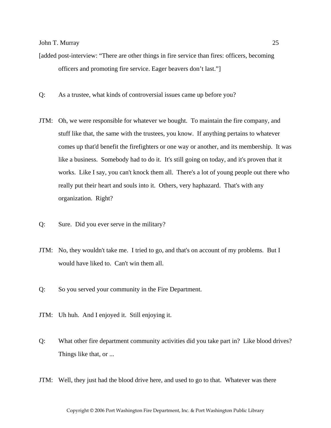- [added post-interview: "There are other things in fire service than fires: officers, becoming officers and promoting fire service. Eager beavers don't last."]
- Q: As a trustee, what kinds of controversial issues came up before you?
- JTM: Oh, we were responsible for whatever we bought. To maintain the fire company, and stuff like that, the same with the trustees, you know. If anything pertains to whatever comes up that'd benefit the firefighters or one way or another, and its membership. It was like a business. Somebody had to do it. It's still going on today, and it's proven that it works. Like I say, you can't knock them all. There's a lot of young people out there who really put their heart and souls into it. Others, very haphazard. That's with any organization. Right?
- Q: Sure. Did you ever serve in the military?
- JTM: No, they wouldn't take me. I tried to go, and that's on account of my problems. But I would have liked to. Can't win them all.
- Q: So you served your community in the Fire Department.
- JTM: Uh huh. And I enjoyed it. Still enjoying it.
- Q: What other fire department community activities did you take part in? Like blood drives? Things like that, or ...
- JTM: Well, they just had the blood drive here, and used to go to that. Whatever was there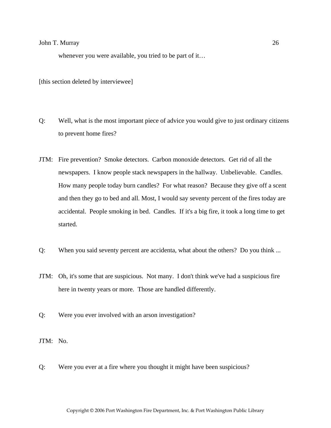whenever you were available, you tried to be part of it…

[this section deleted by interviewee]

- Q: Well, what is the most important piece of advice you would give to just ordinary citizens to prevent home fires?
- JTM: Fire prevention? Smoke detectors. Carbon monoxide detectors. Get rid of all the newspapers. I know people stack newspapers in the hallway. Unbelievable. Candles. How many people today burn candles? For what reason? Because they give off a scent and then they go to bed and all. Most, I would say seventy percent of the fires today are accidental. People smoking in bed. Candles. If it's a big fire, it took a long time to get started.
- Q: When you said seventy percent are accidenta, what about the others? Do you think ...
- JTM: Oh, it's some that are suspicious. Not many. I don't think we've had a suspicious fire here in twenty years or more. Those are handled differently.
- Q: Were you ever involved with an arson investigation?
- JTM: No.
- Q: Were you ever at a fire where you thought it might have been suspicious?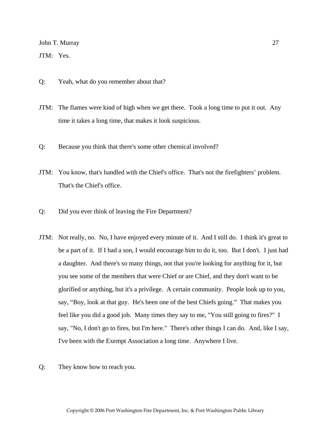JTM: Yes.

- Q: Yeah, what do you remember about that?
- JTM: The flames were kind of high when we get there. Took a long time to put it out. Any time it takes a long time, that makes it look suspicious.
- Q: Because you think that there's some other chemical involved?
- JTM: You know, that's handled with the Chief's office. That's not the firefighters' problem. That's the Chief's office.
- Q: Did you ever think of leaving the Fire Department?
- JTM: Not really, no. No, I have enjoyed every minute of it. And I still do. I think it's great to be a part of it. If I had a son, I would encourage him to do it, too. But I don't. I just had a daughter. And there's so many things, not that you're looking for anything for it, but you see some of the members that were Chief or are Chief, and they don't want to be glorified or anything, but it's a privilege. A certain community. People look up to you, say, "Boy, look at that guy. He's been one of the best Chiefs going." That makes you feel like you did a good job. Many times they say to me, "You still going to fires?" I say, "No, I don't go to fires, but I'm here." There's other things I can do. And, like I say, I've been with the Exempt Association a long time. Anywhere I live.
- Q: They know how to reach you.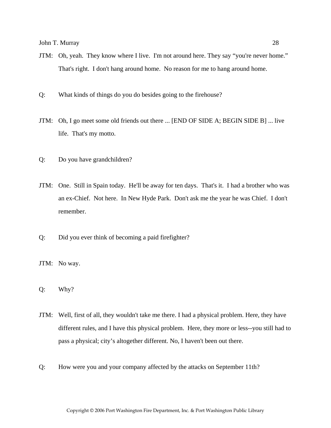- JTM: Oh, yeah. They know where I live. I'm not around here. They say "you're never home." That's right. I don't hang around home. No reason for me to hang around home.
- Q: What kinds of things do you do besides going to the firehouse?
- JTM: Oh, I go meet some old friends out there ... [END OF SIDE A; BEGIN SIDE B] ... live life. That's my motto.
- Q: Do you have grandchildren?
- JTM: One. Still in Spain today. He'll be away for ten days. That's it. I had a brother who was an ex-Chief. Not here. In New Hyde Park. Don't ask me the year he was Chief. I don't remember.
- Q: Did you ever think of becoming a paid firefighter?
- JTM: No way.
- Q: Why?
- JTM: Well, first of all, they wouldn't take me there. I had a physical problem. Here, they have different rules, and I have this physical problem. Here, they more or less--you still had to pass a physical; city's altogether different. No, I haven't been out there.
- Q: How were you and your company affected by the attacks on September 11th?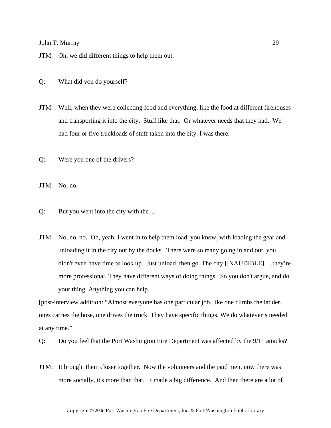JTM: Oh, we did different things to help them out.

Q: What did you do yourself?

JTM: Well, when they were collecting food and everything, like the food at different firehouses and transporting it into the city. Stuff like that. Or whatever needs that they had. We had four or five truckloads of stuff taken into the city. I was there.

Q: Were you one of the drivers?

JTM: No, no.

Q: But you went into the city with the ...

JTM: No, no, no. Oh, yeah, I went in to help them load, you know, with loading the gear and unloading it in the city out by the docks. There were so many going in and out, you didn't even have time to look up. Just unload, then go. The city [INAUDIBLE] …they're more professional. They have different ways of doing things. So you don't argue, and do your thing. Anything you can help.

[post-interview addition: "Almost everyone has one particular job, like one climbs the ladder, ones carries the hose, one drives the truck. They have specific things. We do whatever's needed at any time."

Q: Do you feel that the Port Washington Fire Department was affected by the 9/11 attacks?

JTM: It brought them closer together. Now the volunteers and the paid men, now there was more socially, it's more than that. It made a big difference. And then there are a lot of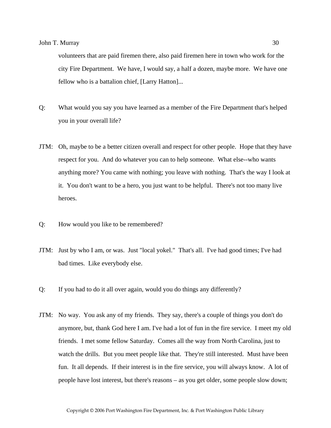volunteers that are paid firemen there, also paid firemen here in town who work for the city Fire Department. We have, I would say, a half a dozen, maybe more. We have one fellow who is a battalion chief, [Larry Hatton]...

- Q: What would you say you have learned as a member of the Fire Department that's helped you in your overall life?
- JTM: Oh, maybe to be a better citizen overall and respect for other people. Hope that they have respect for you. And do whatever you can to help someone. What else--who wants anything more? You came with nothing; you leave with nothing. That's the way I look at it. You don't want to be a hero, you just want to be helpful. There's not too many live heroes.
- Q: How would you like to be remembered?
- JTM: Just by who I am, or was. Just "local yokel." That's all. I've had good times; I've had bad times. Like everybody else.
- Q: If you had to do it all over again, would you do things any differently?
- JTM: No way. You ask any of my friends. They say, there's a couple of things you don't do anymore, but, thank God here I am. I've had a lot of fun in the fire service. I meet my old friends. I met some fellow Saturday. Comes all the way from North Carolina, just to watch the drills. But you meet people like that. They're still interested. Must have been fun. It all depends. If their interest is in the fire service, you will always know. A lot of people have lost interest, but there's reasons – as you get older, some people slow down;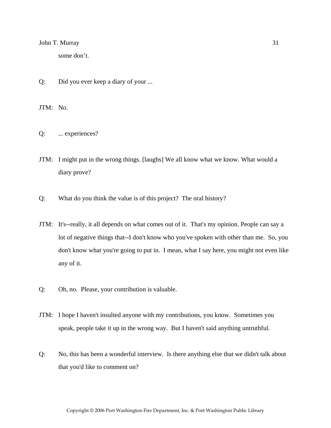some don't.

Q: Did you ever keep a diary of your ...

JTM: No.

- Q: ... experiences?
- JTM: I might put in the wrong things. [laughs] We all know what we know. What would a diary prove?
- Q: What do you think the value is of this project? The oral history?
- JTM: It's--really, it all depends on what comes out of it. That's my opinion. People can say a lot of negative things that--I don't know who you've spoken with other than me. So, you don't know what you're going to put in. I mean, what I say here, you might not even like any of it.
- Q: Oh, no. Please, your contribution is valuable.
- JTM: I hope I haven't insulted anyone with my contributions, you know. Sometimes you speak, people take it up in the wrong way. But I haven't said anything untruthful.
- Q: No, this has been a wonderful interview. Is there anything else that we didn't talk about that you'd like to comment on?